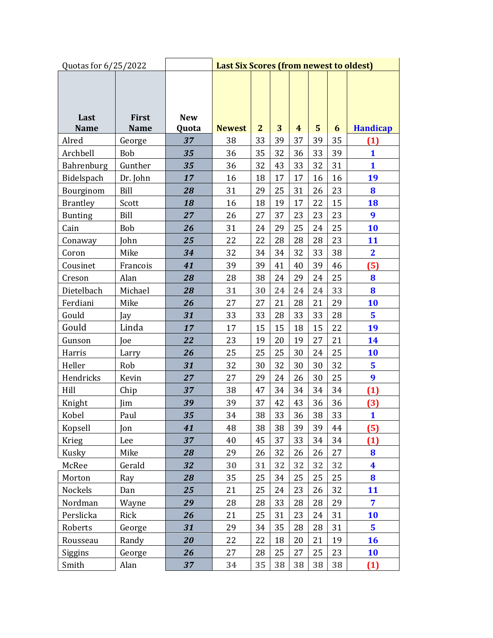| Quotas for 6/25/2022 |                      |                     | <b>Last Six Scores (from newest to oldest)</b> |                |    |    |    |    |                         |
|----------------------|----------------------|---------------------|------------------------------------------------|----------------|----|----|----|----|-------------------------|
| Last<br><b>Name</b>  | First<br><b>Name</b> | <b>New</b><br>Quota | <b>Newest</b>                                  | $\overline{2}$ | 3  | 4  | 5  | 6  | <b>Handicap</b>         |
| Alred                | George               | 37                  | 38                                             | 33             | 39 | 37 | 39 | 35 | $\mathbf{\mathbf{(1)}}$ |
| Archbell             | Bob                  | 35                  | 36                                             | 35             | 32 | 36 | 33 | 39 | 1                       |
| Bahrenburg           | Gunther              | 35                  | 36                                             | 32             | 43 | 33 | 32 | 31 | $\mathbf{1}$            |
| Bidelspach           | Dr. John             | 17                  | 16                                             | 18             | 17 | 17 | 16 | 16 | 19                      |
| Bourginom            | Bill                 | 28                  | 31                                             | 29             | 25 | 31 | 26 | 23 | 8                       |
| <b>Brantley</b>      | Scott                | 18                  | 16                                             | 18             | 19 | 17 | 22 | 15 | 18                      |
| <b>Bunting</b>       | Bill                 | 27                  | 26                                             | 27             | 37 | 23 | 23 | 23 | 9                       |
| Cain                 | Bob                  | 26                  | 31                                             | 24             | 29 | 25 | 24 | 25 | 10                      |
| Conaway              | John                 | 25                  | 22                                             | 22             | 28 | 28 | 28 | 23 | 11                      |
| Coron                | Mike                 | 34                  | 32                                             | 34             | 34 | 32 | 33 | 38 | $\overline{\mathbf{2}}$ |
| Cousinet             | Francois             | 41                  | 39                                             | 39             | 41 | 40 | 39 | 46 | (5)                     |
| Creson               | Alan                 | 28                  | 28                                             | 38             | 24 | 29 | 24 | 25 | 8                       |
| Dietelbach           | Michael              | 28                  | 31                                             | 30             | 24 | 24 | 24 | 33 | 8                       |
| Ferdiani             | Mike                 | 26                  | 27                                             | 27             | 21 | 28 | 21 | 29 | 10                      |
| Gould                | Jay                  | 31                  | 33                                             | 33             | 28 | 33 | 33 | 28 | 5                       |
| Gould                | Linda                | 17                  | 17                                             | 15             | 15 | 18 | 15 | 22 | 19                      |
| Gunson               | Joe                  | 22                  | 23                                             | 19             | 20 | 19 | 27 | 21 | 14                      |
| Harris               | Larry                | 26                  | 25                                             | 25             | 25 | 30 | 24 | 25 | 10                      |
| Heller               | Rob                  | 31                  | 32                                             | 30             | 32 | 30 | 30 | 32 | 5                       |
| Hendricks            | Kevin                | 27                  | 27                                             | 29             | 24 | 26 | 30 | 25 | 9                       |
| Hill                 | Chip                 | 37                  | 38                                             | 47             | 34 | 34 | 34 | 34 | (1)                     |
| Knight               | Jim                  | 39                  | 39                                             | 37             | 42 | 43 | 36 | 36 | (3)                     |
| Kobel                | Paul                 | 35                  | 34                                             | 38             | 33 | 36 | 38 | 33 | $\mathbf{1}$            |
| Kopsell              | Jon                  | 41                  | 48                                             | 38             | 38 | 39 | 39 | 44 | (5)                     |
| Krieg                | Lee                  | 37                  | 40                                             | 45             | 37 | 33 | 34 | 34 | (1)                     |
| Kusky                | Mike                 | 28                  | 29                                             | 26             | 32 | 26 | 26 | 27 | $\bf{8}$                |
| McRee                | Gerald               | 32                  | 30                                             | 31             | 32 | 32 | 32 | 32 | $\overline{\textbf{4}}$ |
| Morton               | Ray                  | 28                  | 35                                             | 25             | 34 | 25 | 25 | 25 | 8                       |
| Nockels              | Dan                  | 25                  | 21                                             | 25             | 24 | 23 | 26 | 32 | 11                      |
| Nordman              | Wayne                | 29                  | 28                                             | 28             | 33 | 28 | 28 | 29 | 7                       |
| Perslicka            | Rick                 | 26                  | 21                                             | 25             | 31 | 23 | 24 | 31 | 10                      |
| Roberts              | George               | 31                  | 29                                             | 34             | 35 | 28 | 28 | 31 | $5\phantom{a}$          |
| Rousseau             | Randy                | 20                  | 22                                             | 22             | 18 | 20 | 21 | 19 | 16                      |
| Siggins              | George               | 26                  | 27                                             | 28             | 25 | 27 | 25 | 23 | 10                      |
| Smith                | Alan                 | 37                  | 34                                             | 35             | 38 | 38 | 38 | 38 | (1)                     |